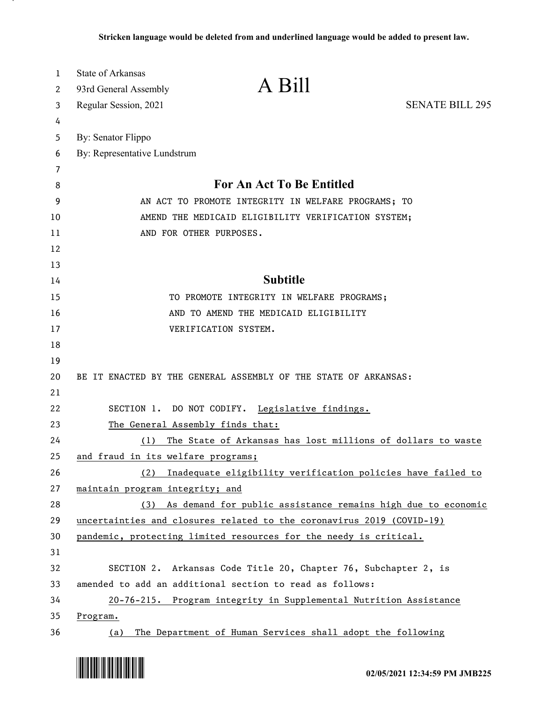| 1<br>2 | <b>State of Arkansas</b><br>A Bill<br>93rd General Assembly           |                                                                  |
|--------|-----------------------------------------------------------------------|------------------------------------------------------------------|
| 3      | Regular Session, 2021                                                 | <b>SENATE BILL 295</b>                                           |
| 4      |                                                                       |                                                                  |
| 5      | By: Senator Flippo                                                    |                                                                  |
| 6      | By: Representative Lundstrum                                          |                                                                  |
| 7      |                                                                       |                                                                  |
| 8      | <b>For An Act To Be Entitled</b>                                      |                                                                  |
| 9      | AN ACT TO PROMOTE INTEGRITY IN WELFARE PROGRAMS; TO                   |                                                                  |
| 10     | AMEND THE MEDICAID ELIGIBILITY VERIFICATION SYSTEM;                   |                                                                  |
| 11     | AND FOR OTHER PURPOSES.                                               |                                                                  |
| 12     |                                                                       |                                                                  |
| 13     |                                                                       |                                                                  |
| 14     | <b>Subtitle</b>                                                       |                                                                  |
| 15     | TO PROMOTE INTEGRITY IN WELFARE PROGRAMS;                             |                                                                  |
| 16     | AND TO AMEND THE MEDICAID ELIGIBILITY                                 |                                                                  |
| 17     | VERIFICATION SYSTEM.                                                  |                                                                  |
| 18     |                                                                       |                                                                  |
| 19     |                                                                       |                                                                  |
| 20     | BE IT ENACTED BY THE GENERAL ASSEMBLY OF THE STATE OF ARKANSAS:       |                                                                  |
| 21     |                                                                       |                                                                  |
| 22     | SECTION 1. DO NOT CODIFY. Legislative findings.                       |                                                                  |
| 23     | The General Assembly finds that:                                      |                                                                  |
| 24     | (1)                                                                   | The State of Arkansas has lost millions of dollars to waste      |
| 25     | and fraud in its welfare programs;                                    |                                                                  |
| 26     | (2)                                                                   | Inadequate eligibility verification policies have failed to      |
| 27     | maintain program integrity; and                                       |                                                                  |
| 28     |                                                                       | (3) As demand for public assistance remains high due to economic |
| 29     | uncertainties and closures related to the coronavirus 2019 (COVID-19) |                                                                  |
| 30     | pandemic, protecting limited resources for the needy is critical.     |                                                                  |
| 31     |                                                                       |                                                                  |
| 32     | SECTION 2. Arkansas Code Title 20, Chapter 76, Subchapter 2, is       |                                                                  |
| 33     | amended to add an additional section to read as follows:              |                                                                  |
| 34     | 20-76-215. Program integrity in Supplemental Nutrition Assistance     |                                                                  |
| 35     | <u>Program.</u>                                                       |                                                                  |
| 36     | (a) The Department of Human Services shall adopt the following        |                                                                  |

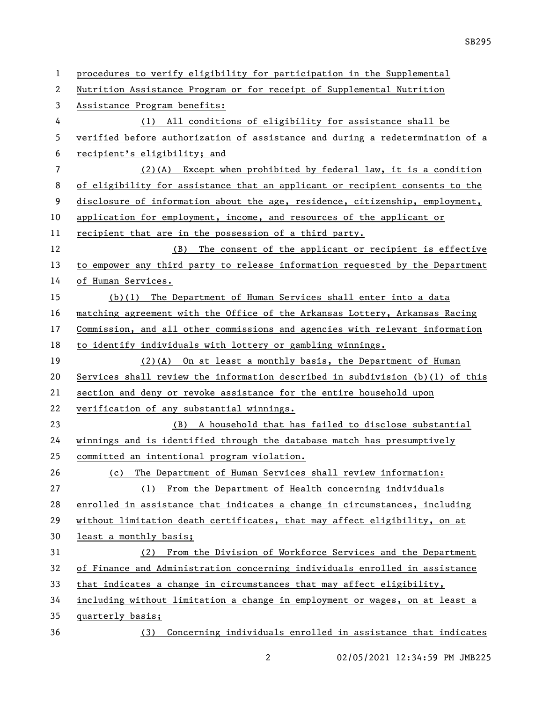| $\mathbf{1}$ | procedures to verify eligibility for participation in the Supplemental          |
|--------------|---------------------------------------------------------------------------------|
| 2            | Nutrition Assistance Program or for receipt of Supplemental Nutrition           |
| 3            | Assistance Program benefits:                                                    |
| 4            | (1) All conditions of eligibility for assistance shall be                       |
| 5            | verified before authorization of assistance and during a redetermination of a   |
| 6            | recipient's eligibility; and                                                    |
| 7            | $(2)$ (A) Except when prohibited by federal law, it is a condition              |
| 8            | of eligibility for assistance that an applicant or recipient consents to the    |
| 9            | disclosure of information about the age, residence, citizenship, employment,    |
| 10           | application for employment, income, and resources of the applicant or           |
| 11           | recipient that are in the possession of a third party.                          |
| 12           | (B) The consent of the applicant or recipient is effective                      |
| 13           | to empower any third party to release information requested by the Department   |
| 14           | of Human Services.                                                              |
| 15           | (b)(1) The Department of Human Services shall enter into a data                 |
| 16           | matching agreement with the Office of the Arkansas Lottery, Arkansas Racing     |
| 17           | Commission, and all other commissions and agencies with relevant information    |
| 18           | to identify individuals with lottery or gambling winnings.                      |
| 19           | $(2)$ (A) On at least a monthly basis, the Department of Human                  |
| 20           | Services shall review the information described in subdivision $(b)(1)$ of this |
| 21           | section and deny or revoke assistance for the entire household upon             |
| 22           | verification of any substantial winnings.                                       |
| 23           | (B) A household that has failed to disclose substantial                         |
| 24           | winnings and is identified through the database match has presumptively         |
| 25           | committed an intentional program violation.                                     |
| 26           | (c) The Department of Human Services shall review information:                  |
| 27           | (1) From the Department of Health concerning individuals                        |
| 28           | enrolled in assistance that indicates a change in circumstances, including      |
| 29           | without limitation death certificates, that may affect eligibility, on at       |
| 30           | least a monthly basis;                                                          |
| 31           | From the Division of Workforce Services and the Department<br>(2)               |
| 32           | of Finance and Administration concerning individuals enrolled in assistance     |
| 33           | that indicates a change in circumstances that may affect eligibility,           |
| 34           | including without limitation a change in employment or wages, on at least a     |
| 35           | quarterly basis;                                                                |
| 36           | Concerning individuals enrolled in assistance that indicates<br>(3)             |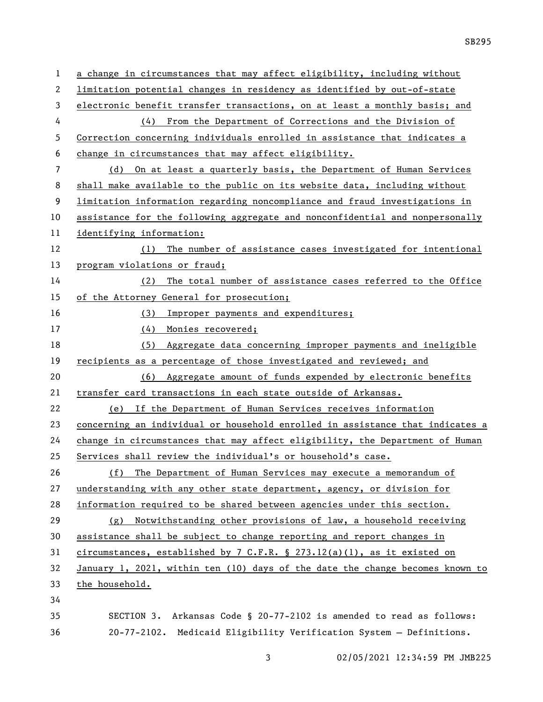a change in circumstances that may affect eligibility, including without limitation potential changes in residency as identified by out-of-state electronic benefit transfer transactions, on at least a monthly basis; and (4) From the Department of Corrections and the Division of Correction concerning individuals enrolled in assistance that indicates a change in circumstances that may affect eligibility. (d) On at least a quarterly basis, the Department of Human Services shall make available to the public on its website data, including without limitation information regarding noncompliance and fraud investigations in assistance for the following aggregate and nonconfidential and nonpersonally identifying information: (1) The number of assistance cases investigated for intentional program violations or fraud; (2) The total number of assistance cases referred to the Office of the Attorney General for prosecution; (3) Improper payments and expenditures; (4) Monies recovered; (5) Aggregate data concerning improper payments and ineligible recipients as a percentage of those investigated and reviewed; and (6) Aggregate amount of funds expended by electronic benefits transfer card transactions in each state outside of Arkansas. (e) If the Department of Human Services receives information concerning an individual or household enrolled in assistance that indicates a change in circumstances that may affect eligibility, the Department of Human Services shall review the individual's or household's case. (f) The Department of Human Services may execute a memorandum of understanding with any other state department, agency, or division for information required to be shared between agencies under this section. (g) Notwithstanding other provisions of law, a household receiving assistance shall be subject to change reporting and report changes in circumstances, established by 7 C.F.R. § 273.12(a)(1), as it existed on January 1, 2021, within ten (10) days of the date the change becomes known to the household. SECTION 3. Arkansas Code § 20-77-2102 is amended to read as follows: 20-77-2102. Medicaid Eligibility Verification System — Definitions.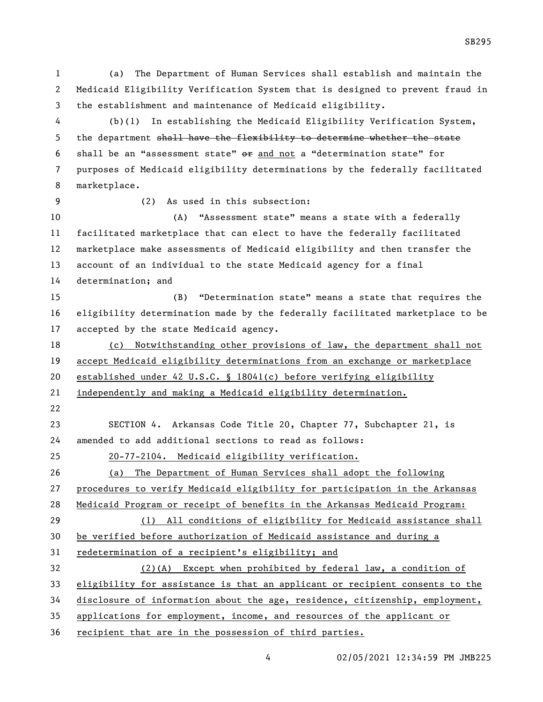(a) The Department of Human Services shall establish and maintain the Medicaid Eligibility Verification System that is designed to prevent fraud in the establishment and maintenance of Medicaid eligibility. (b)(1) In establishing the Medicaid Eligibility Verification System, 5 the department shall have the flexibility to determine whether the state shall be an "assessment state" or and not a "determination state" for purposes of Medicaid eligibility determinations by the federally facilitated marketplace. (2) As used in this subsection: (A) "Assessment state" means a state with a federally facilitated marketplace that can elect to have the federally facilitated marketplace make assessments of Medicaid eligibility and then transfer the account of an individual to the state Medicaid agency for a final determination; and (B) "Determination state" means a state that requires the eligibility determination made by the federally facilitated marketplace to be accepted by the state Medicaid agency. (c) Notwithstanding other provisions of law, the department shall not accept Medicaid eligibility determinations from an exchange or marketplace 20 established under 42 U.S.C. § 18041(c) before verifying eligibility independently and making a Medicaid eligibility determination. SECTION 4. Arkansas Code Title 20, Chapter 77, Subchapter 21, is amended to add additional sections to read as follows: 20-77-2104. Medicaid eligibility verification. (a) The Department of Human Services shall adopt the following procedures to verify Medicaid eligibility for participation in the Arkansas Medicaid Program or receipt of benefits in the Arkansas Medicaid Program: (1) All conditions of eligibility for Medicaid assistance shall be verified before authorization of Medicaid assistance and during a redetermination of a recipient's eligibility; and (2)(A) Except when prohibited by federal law, a condition of eligibility for assistance is that an applicant or recipient consents to the disclosure of information about the age, residence, citizenship, employment, applications for employment, income, and resources of the applicant or recipient that are in the possession of third parties.

SB295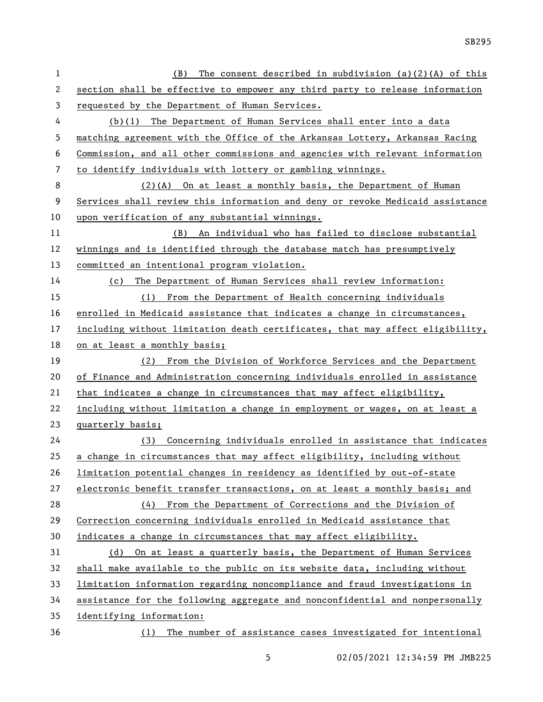| $\mathbf{1}$   | The consent described in subdivision $(a)(2)(A)$ of this<br>(B)               |  |
|----------------|-------------------------------------------------------------------------------|--|
| 2              | section shall be effective to empower any third party to release information  |  |
| 3              | requested by the Department of Human Services.                                |  |
| 4              | (b)(1) The Department of Human Services shall enter into a data               |  |
| 5              | matching agreement with the Office of the Arkansas Lottery, Arkansas Racing   |  |
| 6              | Commission, and all other commissions and agencies with relevant information  |  |
| $\overline{7}$ | to identify individuals with lottery or gambling winnings.                    |  |
| 8              | (2)(A) On at least a monthly basis, the Department of Human                   |  |
| 9              | Services shall review this information and deny or revoke Medicaid assistance |  |
| 10             | upon verification of any substantial winnings.                                |  |
| 11             | An individual who has failed to disclose substantial<br>(B)                   |  |
| 12             | winnings and is identified through the database match has presumptively       |  |
| 13             | committed an intentional program violation.                                   |  |
| 14             | The Department of Human Services shall review information:<br>(c)             |  |
| 15             | (1) From the Department of Health concerning individuals                      |  |
| 16             | enrolled in Medicaid assistance that indicates a change in circumstances,     |  |
| 17             | including without limitation death certificates, that may affect eligibility, |  |
| 18             | on at least a monthly basis;                                                  |  |
| 19             | (2) From the Division of Workforce Services and the Department                |  |
| 20             | of Finance and Administration concerning individuals enrolled in assistance   |  |
| 21             | that indicates a change in circumstances that may affect eligibility,         |  |
| 22             | including without limitation a change in employment or wages, on at least a   |  |
| 23             | quarterly basis;                                                              |  |
| 24             | (3) Concerning individuals enrolled in assistance that indicates              |  |
| 25             | a change in circumstances that may affect eligibility, including without      |  |
| 26             | limitation potential changes in residency as identified by out-of-state       |  |
| 27             | electronic benefit transfer transactions, on at least a monthly basis; and    |  |
| 28             | (4) From the Department of Corrections and the Division of                    |  |
| 29             | Correction concerning individuals enrolled in Medicaid assistance that        |  |
| 30             | indicates a change in circumstances that may affect eligibility.              |  |
| 31             | On at least a quarterly basis, the Department of Human Services<br>(d)        |  |
| 32             | shall make available to the public on its website data, including without     |  |
| 33             | limitation information regarding noncompliance and fraud investigations in    |  |
| 34             | assistance for the following aggregate and nonconfidential and nonpersonally  |  |
| 35             | identifying information:                                                      |  |
| 36             | The number of assistance cases investigated for intentional<br>(1)            |  |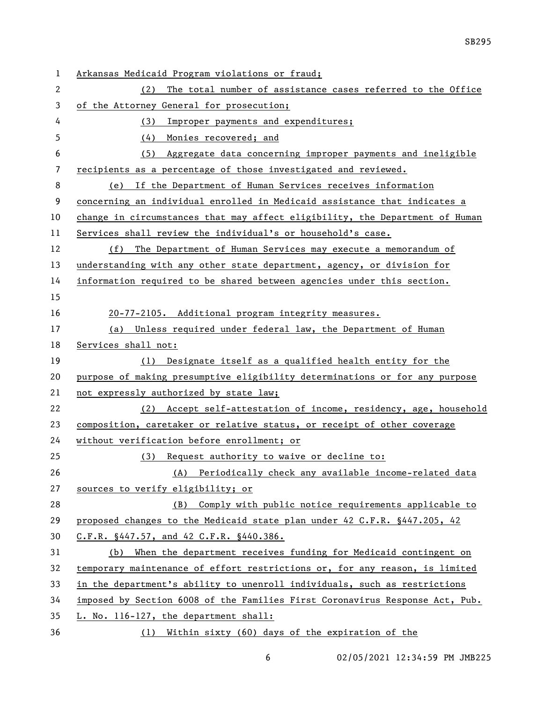| 1  | Arkansas Medicaid Program violations or fraud;                               |
|----|------------------------------------------------------------------------------|
| 2  | The total number of assistance cases referred to the Office<br>(2)           |
| 3  | of the Attorney General for prosecution;                                     |
| 4  | (3)<br>Improper payments and expenditures;                                   |
| 5  | (4) Monies recovered; and                                                    |
| 6  | (5) Aggregate data concerning improper payments and ineligible               |
| 7  | recipients as a percentage of those investigated and reviewed.               |
| 8  | If the Department of Human Services receives information<br>(e)              |
| 9  | concerning an individual enrolled in Medicaid assistance that indicates a    |
| 10 | change in circumstances that may affect eligibility, the Department of Human |
| 11 | Services shall review the individual's or household's case.                  |
| 12 | The Department of Human Services may execute a memorandum of<br>(f)          |
| 13 | understanding with any other state department, agency, or division for       |
| 14 | information required to be shared between agencies under this section.       |
| 15 |                                                                              |
| 16 | 20-77-2105. Additional program integrity measures.                           |
| 17 | (a) Unless required under federal law, the Department of Human               |
| 18 | Services shall not:                                                          |
| 19 | (1) Designate itself as a qualified health entity for the                    |
| 20 | purpose of making presumptive eligibility determinations or for any purpose  |
| 21 | not expressly authorized by state law;                                       |
| 22 | (2) Accept self-attestation of income, residency, age, household             |
| 23 | composition, caretaker or relative status, or receipt of other coverage      |
| 24 | without verification before enrollment; or                                   |
| 25 | (3) Request authority to waive or decline to:                                |
| 26 | (A) Periodically check any available income-related data                     |
| 27 | sources to verify eligibility; or                                            |
| 28 | (B) Comply with public notice requirements applicable to                     |
| 29 | proposed changes to the Medicaid state plan under 42 C.F.R. §447.205, 42     |
| 30 | C.F.R. §447.57, and 42 C.F.R. §440.386.                                      |
| 31 | When the department receives funding for Medicaid contingent on<br>(b)       |
| 32 | temporary maintenance of effort restrictions or, for any reason, is limited  |
| 33 | in the department's ability to unenroll individuals, such as restrictions    |
| 34 | imposed by Section 6008 of the Families First Coronavirus Response Act, Pub. |
| 35 | L. No. 116-127, the department shall:                                        |
| 36 | (1) Within sixty (60) days of the expiration of the                          |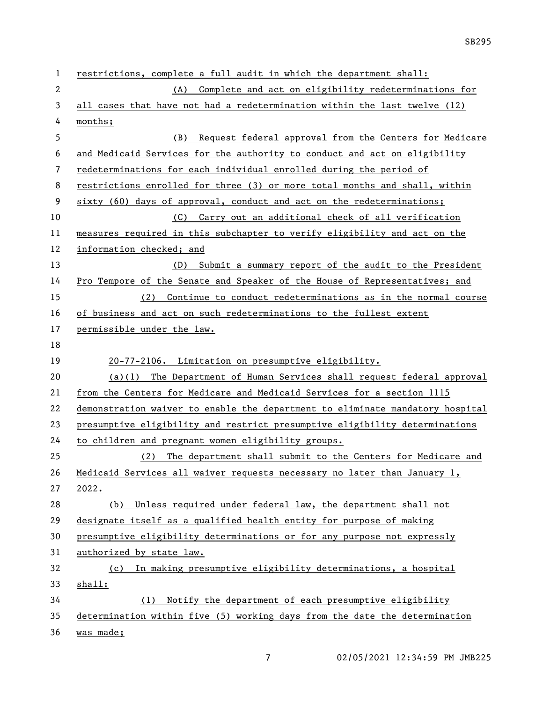| $\mathbf 1$    | restrictions, complete a full audit in which the department shall:            |
|----------------|-------------------------------------------------------------------------------|
| $\mathbf{2}$   | Complete and act on eligibility redeterminations for<br>(A)                   |
| 3              | all cases that have not had a redetermination within the last twelve (12)     |
| 4              | months;                                                                       |
| 5              | Request federal approval from the Centers for Medicare<br>(B)                 |
| 6              | and Medicaid Services for the authority to conduct and act on eligibility     |
| $\overline{7}$ | redeterminations for each individual enrolled during the period of            |
| 8              | restrictions enrolled for three (3) or more total months and shall, within    |
| 9              | sixty (60) days of approval, conduct and act on the redeterminations;         |
| 10             | Carry out an additional check of all verification<br>(C)                      |
| 11             | measures required in this subchapter to verify eligibility and act on the     |
| 12             | information checked; and                                                      |
| 13             | (D) Submit a summary report of the audit to the President                     |
| 14             | Pro Tempore of the Senate and Speaker of the House of Representatives; and    |
| 15             | Continue to conduct redeterminations as in the normal course<br>(2)           |
| 16             | of business and act on such redeterminations to the fullest extent            |
| 17             | permissible under the law.                                                    |
| 18             |                                                                               |
|                |                                                                               |
| 19             | 20-77-2106. Limitation on presumptive eligibility.                            |
| 20             | $(a)(1)$ The Department of Human Services shall request federal approval      |
| 21             | from the Centers for Medicare and Medicaid Services for a section 1115        |
| 22             | demonstration waiver to enable the department to eliminate mandatory hospital |
| 23             | presumptive eligibility and restrict presumptive eligibility determinations   |
| 24             | to children and pregnant women eligibility groups.                            |
| 25             | (2) The department shall submit to the Centers for Medicare and               |
| 26             | Medicaid Services all waiver requests necessary no later than January 1,      |
| 27             | 2022.                                                                         |
| 28             | Unless required under federal law, the department shall not<br>(b)            |
| 29             | designate itself as a qualified health entity for purpose of making           |
| 30             | presumptive eligibility determinations or for any purpose not expressly       |
| 31             | authorized by state law.                                                      |
| 32             | In making presumptive eligibility determinations, a hospital<br>(c)           |
| 33             | shall:                                                                        |
| 34             | Notify the department of each presumptive eligibility<br>(1)                  |
| 35             | determination within five (5) working days from the date the determination    |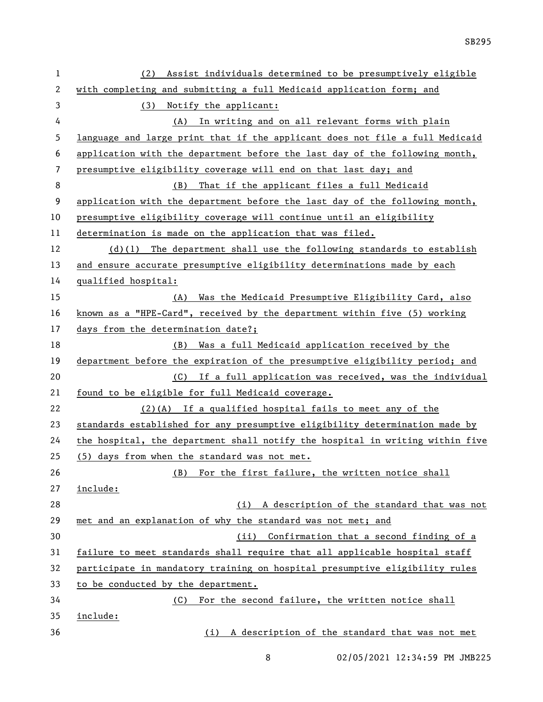| $\mathbf{1}$ | Assist individuals determined to be presumptively eligible<br>(2)             |  |
|--------------|-------------------------------------------------------------------------------|--|
| 2            | with completing and submitting a full Medicaid application form; and          |  |
| 3            | Notify the applicant:<br>(3)                                                  |  |
| 4            | (A) In writing and on all relevant forms with plain                           |  |
| 5            | language and large print that if the applicant does not file a full Medicaid  |  |
| 6            | application with the department before the last day of the following month,   |  |
| 7            | presumptive eligibility coverage will end on that last day; and               |  |
| 8            | (B) That if the applicant files a full Medicaid                               |  |
| 9            | application with the department before the last day of the following month,   |  |
| 10           | presumptive eligibility coverage will continue until an eligibility           |  |
| 11           | determination is made on the application that was filed.                      |  |
| 12           | $(d)(1)$ The department shall use the following standards to establish        |  |
| 13           | and ensure accurate presumptive eligibility determinations made by each       |  |
| 14           | qualified hospital:                                                           |  |
| 15           | (A) Was the Medicaid Presumptive Eligibility Card, also                       |  |
| 16           | known as a "HPE-Card", received by the department within five (5) working     |  |
| 17           | days from the determination date?;                                            |  |
| 18           | (B) Was a full Medicaid application received by the                           |  |
| 19           | department before the expiration of the presumptive eligibility period; and   |  |
| 20           | (C) If a full application was received, was the individual                    |  |
| 21           | found to be eligible for full Medicaid coverage.                              |  |
| 22           | $(2)(A)$ If a qualified hospital fails to meet any of the                     |  |
| 23           | standards established for any presumptive eligibility determination made by   |  |
| 24           | the hospital, the department shall notify the hospital in writing within five |  |
| 25           | (5) days from when the standard was not met.                                  |  |
| 26           | (B) For the first failure, the written notice shall                           |  |
| 27           | include:                                                                      |  |
| 28           | (i) A description of the standard that was not                                |  |
| 29           | met and an explanation of why the standard was not met; and                   |  |
| 30           | (ii) Confirmation that a second finding of a                                  |  |
| 31           | failure to meet standards shall require that all applicable hospital staff    |  |
| 32           | participate in mandatory training on hospital presumptive eligibility rules   |  |
| 33           | to be conducted by the department.                                            |  |
| 34           | For the second failure, the written notice shall<br>(C)                       |  |
| 35           | include:                                                                      |  |
| 36           | (i) A description of the standard that was not met                            |  |